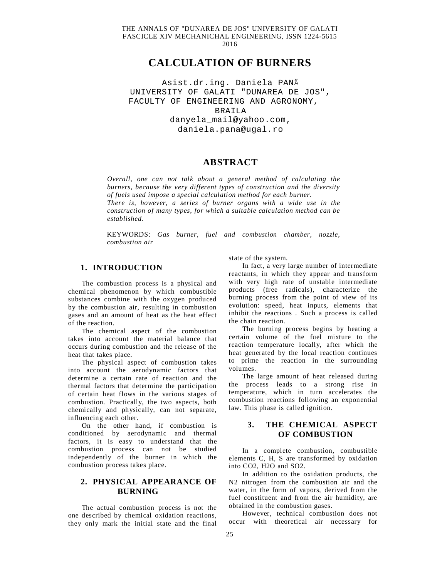THE ANNALS OF "DUNAREA DE JOS" UNIVERSITY OF GALATI FASCICLE XIV MECHANICHAL ENGINEERING, ISSN 1224-5615 2016

# **CALCULATION OF BURNERS**

Asist.dr.ing. Daniela PANĂ UNIVERSITY OF GALATI "DUNAREA DE JOS", FACULTY OF ENGINEERING AND AGRONOMY, BRAILA [danyela\\_mail@yahoo.com,](mailto:danyela_mail@yahoo.com,) [daniela.pana@ugal.ro](mailto:daniela.pana@ugal.ro)

## **ABSTRACT**

*Overall, one can not talk about a general method of calculating the burners, because the very different types of construction and the diversity of fuels used impose a special calculation method for each burner. There is, however, a series of burner organs with a wide use in the construction of many types, for which a suitable calculation method can be* 

KEYWORDS: *Gas burner, fuel and combustion chamber, nozzle, combustion air*

#### **1. INTRODUCTION**

*established.*

The combustion process is a physical and chemical phenomenon by which combustible substances combine with the oxygen produced by the combustion air, resulting in combustion gases and an amount of heat as the heat effect of the reaction.

The chemical aspect of the combustion takes into account the material balance that occurs during combustion and the release of the heat that takes place.

The physical aspect of combustion takes into account the aerodynamic factors that determine a certain rate of reaction and the thermal factors that determine the participation of certain heat flows in the various stages of combustion. Practically, the two aspects, both chemically and physically, can not separate, influencing each other.

On the other hand, if combustion is conditioned by aerodynamic and thermal factors, it is easy to understand that the combustion process can not be studied independently of the burner in which the combustion process takes place.

## **2. PHYSICAL APPEARANCE OF BURNING**

The actual combustion process is not the one described by chemical oxidation reactions, they only mark the initial state and the final

state of the system.

In fact, a very large number of intermediate reactants, in which they appear and transform with very high rate of unstable intermediate products (free radicals), characterize the burning process from the point of view of its evolution: speed, heat inputs, elements that inhibit the reactions . Such a process is called the chain reaction.

The burning process begins by heating a certain volume of the fuel mixture to the reaction temperature locally, after which the heat generated by the local reaction continues to prime the reaction in the surrounding volumes.

The large amount of heat released during the process leads to a strong rise in temperature, which in turn accelerates the combustion reactions following an exponential law. This phase is called ignition.

### **3. THE CHEMICAL ASPECT OF COMBUSTION**

In a complete combustion, combustible elements C, H, S are transformed by oxidation into CO2, H2O and SO2.

In addition to the oxidation products, the N2 nitrogen from the combustion air and the water, in the form of vapors, derived from the fuel constituent and from the air humidity, are obtained in the combustion gases.

However, technical combustion does not occur with theoretical air necessary for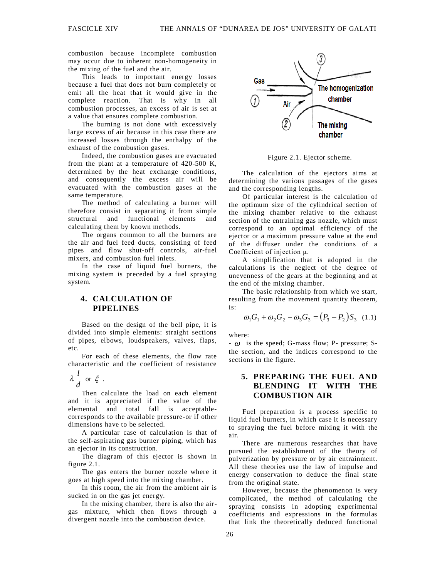combustion because incomplete combustion may occur due to inherent non-homogeneity in the mixing of the fuel and the air.

This leads to important energy losses because a fuel that does not burn completely or emit all the heat that it would give in the complete reaction. That is why in all combustion processes, an excess of air is set at a value that ensures complete combustion.

The burning is not done with excessively large excess of air because in this case there are increased losses through the enthalpy of the exhaust of the combustion gases.

Indeed, the combustion gases are evacuated from the plant at a temperature of 420-500 K, determined by the heat exchange conditions, and consequently the excess air will be evacuated with the combustion gases at the same temperature.

The method of calculating a burner will therefore consist in separating it from simple structural and functional elements and calculating them by known methods.

The organs common to all the burners are the air and fuel feed ducts, consisting of feed pipes and flow shut-off controls, air-fuel mixers, and combustion fuel inlets.

In the case of liquid fuel burners, the mixing system is preceded by a fuel spraying system.

## **4. CALCULATION OF PIPELINES**

Based on the design of the bell pipe, it is divided into simple elements: straight sections of pipes, elbows, loudspeakers, valves, flaps, etc.

For each of these elements, the flow rate characteristic and the coefficient of resistance

# *d*  $\lambda \frac{l}{\cdot}$  or  $\xi$ .

Then calculate the load on each element and it is appreciated if the value of the elemental and total fall is acceptablecorresponds to the available pressure-or if other dimensions have to be selected.

A particular case of calculation is that of the self-aspirating gas burner piping, which has an ejector in its construction.

The diagram of this ejector is shown in figure 2.1.

The gas enters the burner nozzle where it goes at high speed into the mixing chamber.

In this room, the air from the ambient air is sucked in on the gas jet energy.

In the mixing chamber, there is also the airgas mixture, which then flows through a divergent nozzle into the combustion device.



Figure 2.1. Ejector scheme.

The calculation of the ejectors aims at determining the various passages of the gases and the corresponding lengths.

Of particular interest is the calculation of the optimum size of the cylindrical section of the mixing chamber relative to the exhaust section of the entraining gas nozzle, which must correspond to an optimal efficiency of the ejector or a maximum pressure value at the end of the diffuser under the conditions of a Coefficient of injection μ.

A simplification that is adopted in the calculations is the neglect of the degree of unevenness of the gears at the beginning and at the end of the mixing chamber.

The basic relationship from which we start, resulting from the movement quantity theorem, is:

$$
\omega_1 G_1 + \omega_2 G_2 - \omega_3 G_3 = (P_3 - P_2) S_3 \quad (1.1)
$$

where:

 $\sim \omega$  is the speed; G-mass flow; P- pressure; Sthe section, and the indices correspond to the sections in the figure.

## **5. PREPARING THE FUEL AND BLENDING IT WITH THE COMBUSTION AIR**

Fuel preparation is a process specific to liquid fuel burners, in which case it is necessary to spraying the fuel before mixing it with the air.

There are numerous researches that have pursued the establishment of the theory of pulverization by pressure or by air entrainment. All these theories use the law of impulse and energy conservation to deduce the final state from the original state.

However, because the phenomenon is very complicated, the method of calculating the spraying consists in adopting experimental coefficients and expressions in the formulas that link the theoretically deduced functional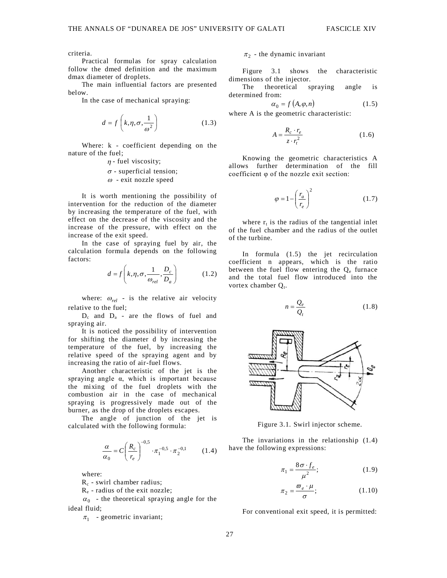criteria.

Practical formulas for spray calculation follow the dmed definition and the maximum dmax diameter of droplets.

The main influential factors are presented below.

In the case of mechanical spraying:

$$
d = f\left(k, \eta, \sigma, \frac{1}{\omega^2}\right) \tag{1.3}
$$

Where: k - coefficient depending on the nature of the fuel;

- $\eta$  fuel viscosity;  $\sigma$  - superficial tension;
- $\omega$  exit nozzle speed

It is worth mentioning the possibility of intervention for the reduction of the diameter by increasing the temperature of the fuel, with effect on the decrease of the viscosity and the increase of the pressure, with effect on the increase of the exit speed.

In the case of spraying fuel by air, the calculation formula depends on the following factors:

$$
d = f\left(k, \eta, \sigma, \frac{1}{\omega_{rel}}, \frac{D_c}{D_a}\right) \tag{1.2}
$$

where:  $\omega_{rel}$  - is the relative air velocity relative to the fuel;

 $D_c$  and  $D_a$  - are the flows of fuel and spraying air.

It is noticed the possibility of intervention for shifting the diameter d by increasing the temperature of the fuel, by increasing the relative speed of the spraying agent and by increasing the ratio of air-fuel flows.

Another characteristic of the jet is the spraying angle  $\alpha$ , which is important because the mixing of the fuel droplets with the combustion air in the case of mechanical spraying is progressively made out of the burner, as the drop of the droplets escapes.

The angle of junction of the jet is calculated with the following formula:

$$
\frac{\alpha}{\alpha_0} = C \left( \frac{R_c}{r_e} \right)^{-0.5} \cdot \pi_1^{-0.5} \cdot \pi_2^{-0.1}
$$
 (1.4)

where:

 $R_c$  - swirl chamber radius;

R<sup>e</sup> - radius of the exit nozzle;

 $\alpha_0$  - the theoretical spraying angle for the ideal fluid;

 $\pi_1$  - geometric invariant;

### $\pi_2$  - the dynamic invariant

Figure 3.1 shows the characteristic dimensions of the injector.

The theoretical spraying angle is determined from:

$$
\alpha_0 = f(A, \varphi, n) \tag{1.5}
$$

where A is the geometric characteristic:

$$
A = \frac{R_c \cdot r_e}{z \cdot r_t^2} \tag{1.6}
$$

Knowing the geometric characteristics A allows further determination of the fill coefficient φ of the nozzle exit section:

$$
\varphi = 1 - \left(\frac{r_a}{r_e}\right)^2 \tag{1.7}
$$

where  $r_t$  is the radius of the tangential inlet of the fuel chamber and the radius of the outlet of the turbine.

In formula (1.5) the jet recirculation coefficient n appears, which is the ratio between the fuel flow entering the  $Q_e$  furnace and the total fuel flow introduced into the vortex chamber  $Q_t$ .

$$
n = \frac{Q_e}{Q_t} \tag{1.8}
$$



Figure 3.1. Swirl injector scheme.

The invariations in the relationship (1.4) have the following expressions:

$$
\pi_1 = \frac{8\,\sigma \cdot f_e}{\mu^2};\tag{1.9}
$$

$$
\pi_2 = \frac{\varpi_e \cdot \mu}{\sigma};\tag{1.10}
$$

For conventional exit speed, it is permitted: